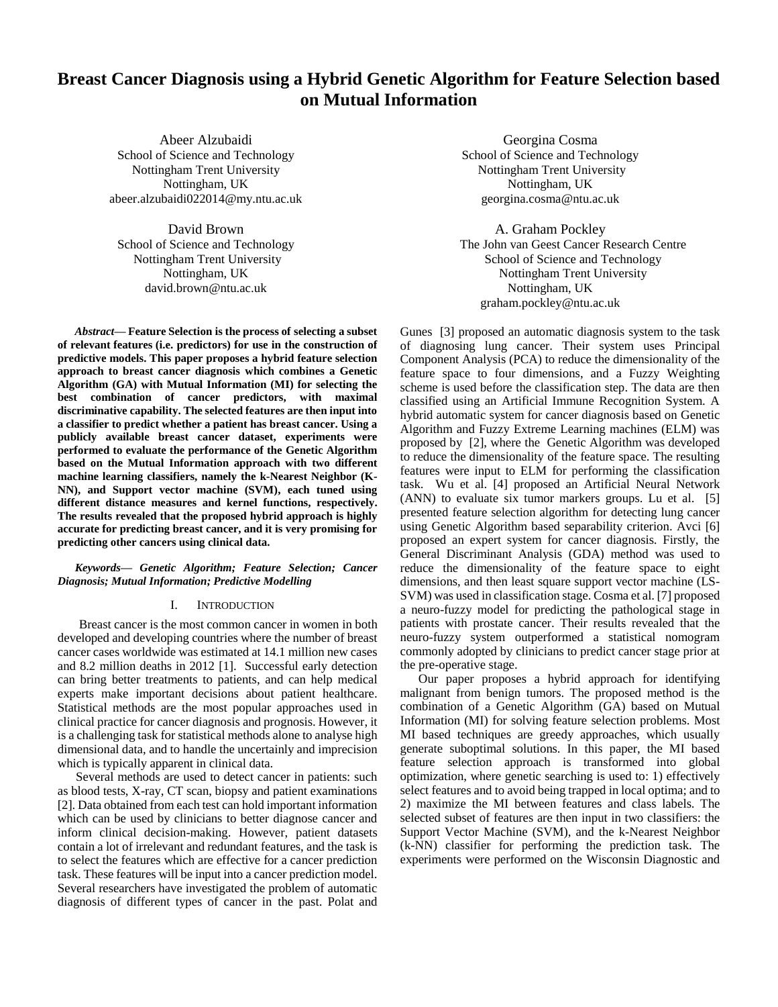# **Breast Cancer Diagnosis using a Hybrid Genetic Algorithm for Feature Selection based on Mutual Information**

Abeer Alzubaidi School of Science and Technology Nottingham Trent University Nottingham, UK abeer.alzubaidi022014@my.ntu.ac.uk

David Brown School of Science and Technology Nottingham Trent University Nottingham, UK david.brown@ntu.ac.uk

*Abstract***— Feature Selection is the process of selecting a subset of relevant features (i.e. predictors) for use in the construction of predictive models. This paper proposes a hybrid feature selection approach to breast cancer diagnosis which combines a Genetic Algorithm (GA) with Mutual Information (MI) for selecting the best combination of cancer predictors, with maximal discriminative capability. The selected features are then input into a classifier to predict whether a patient has breast cancer. Using a publicly available breast cancer dataset, experiments were performed to evaluate the performance of the Genetic Algorithm based on the Mutual Information approach with two different machine learning classifiers, namely the k-Nearest Neighbor (K-NN), and Support vector machine (SVM), each tuned using different distance measures and kernel functions, respectively. The results revealed that the proposed hybrid approach is highly accurate for predicting breast cancer, and it is very promising for predicting other cancers using clinical data.**

# *Keywords— Genetic Algorithm; Feature Selection; Cancer Diagnosis; Mutual Information; Predictive Modelling*

## I. INTRODUCTION

Breast cancer is the most common cancer in women in both developed and developing countries where the number of breast cancer cases worldwide was estimated at 14.1 million new cases and 8.2 million deaths in 2012 [1]. Successful early detection can bring better treatments to patients, and can help medical experts make important decisions about patient healthcare. Statistical methods are the most popular approaches used in clinical practice for cancer diagnosis and prognosis. However, it is a challenging task for statistical methods alone to analyse high dimensional data, and to handle the uncertainly and imprecision which is typically apparent in clinical data.

Several methods are used to detect cancer in patients: such as blood tests, X-ray, CT scan, biopsy and patient examinations [2]. Data obtained from each test can hold important information which can be used by clinicians to better diagnose cancer and inform clinical decision-making. However, patient datasets contain a lot of irrelevant and redundant features, and the task is to select the features which are effective for a cancer prediction task. These features will be input into a cancer prediction model. Several researchers have investigated the problem of automatic diagnosis of different types of cancer in the past. Polat and

Georgina Cosma School of Science and Technology Nottingham Trent University Nottingham, UK georgina.cosma@ntu.ac.uk

A. Graham Pockley The John van Geest Cancer Research Centre School of Science and Technology Nottingham Trent University Nottingham, UK graham.pockley@ntu.ac.uk

Gunes [3] proposed an automatic diagnosis system to the task of diagnosing lung cancer. Their system uses Principal Component Analysis (PCA) to reduce the dimensionality of the feature space to four dimensions, and a Fuzzy Weighting scheme is used before the classification step. The data are then classified using an Artificial Immune Recognition System. A hybrid automatic system for cancer diagnosis based on Genetic Algorithm and Fuzzy Extreme Learning machines (ELM) was proposed by [2], where the Genetic Algorithm was developed to reduce the dimensionality of the feature space. The resulting features were input to ELM for performing the classification task. Wu et al. [4] proposed an Artificial Neural Network (ANN) to evaluate six tumor markers groups. Lu et al. [5] presented feature selection algorithm for detecting lung cancer using Genetic Algorithm based separability criterion. Avci [6] proposed an expert system for cancer diagnosis. Firstly, the General Discriminant Analysis (GDA) method was used to reduce the dimensionality of the feature space to eight dimensions, and then least square support vector machine (LS-SVM) was used in classification stage. Cosma et al. [7] proposed a neuro-fuzzy model for predicting the pathological stage in patients with prostate cancer. Their results revealed that the neuro-fuzzy system outperformed a statistical nomogram commonly adopted by clinicians to predict cancer stage prior at the pre-operative stage.

Our paper proposes a hybrid approach for identifying malignant from benign tumors. The proposed method is the combination of a Genetic Algorithm (GA) based on Mutual Information (MI) for solving feature selection problems. Most MI based techniques are greedy approaches, which usually generate suboptimal solutions. In this paper, the MI based feature selection approach is transformed into global optimization, where genetic searching is used to: 1) effectively select features and to avoid being trapped in local optima; and to 2) maximize the MI between features and class labels. The selected subset of features are then input in two classifiers: the Support Vector Machine (SVM), and the k-Nearest Neighbor (k-NN) classifier for performing the prediction task. The experiments were performed on the Wisconsin Diagnostic and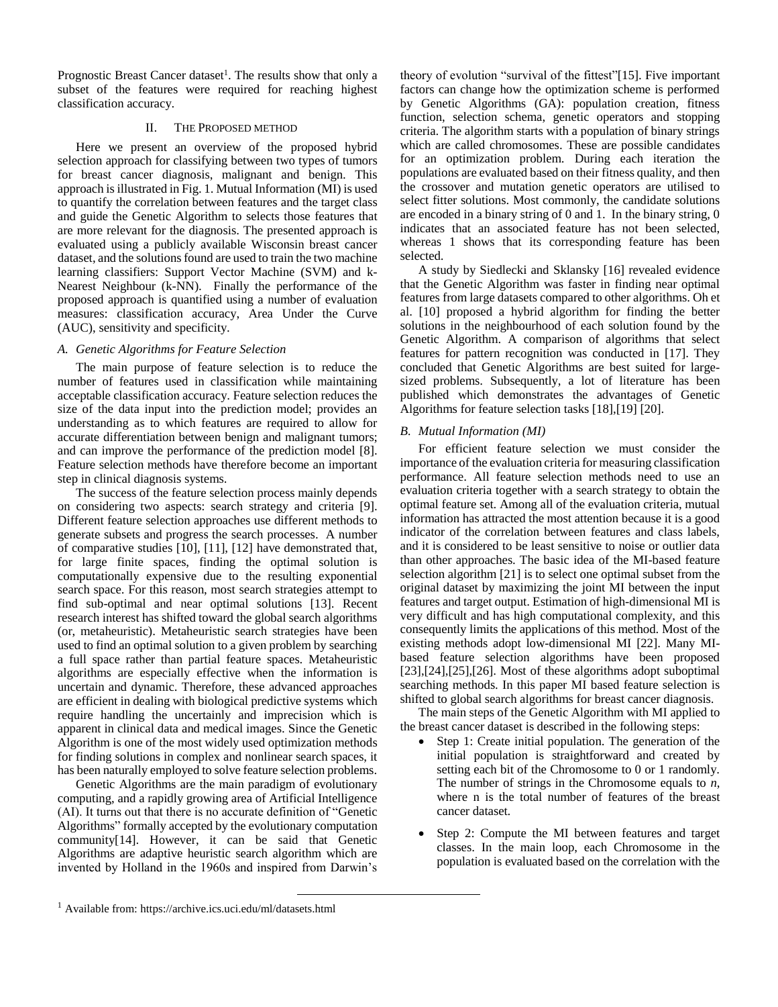Prognostic Breast Cancer dataset<sup>1</sup>. The results show that only a subset of the features were required for reaching highest classification accuracy.

## II. THE PROPOSED METHOD

Here we present an overview of the proposed hybrid selection approach for classifying between two types of tumors for breast cancer diagnosis, malignant and benign. This approach is illustrated in Fig. 1. Mutual Information (MI) is used to quantify the correlation between features and the target class and guide the Genetic Algorithm to selects those features that are more relevant for the diagnosis. The presented approach is evaluated using a publicly available Wisconsin breast cancer dataset, and the solutions found are used to train the two machine learning classifiers: Support Vector Machine (SVM) and k-Nearest Neighbour (k-NN). Finally the performance of the proposed approach is quantified using a number of evaluation measures: classification accuracy, Area Under the Curve (AUC), sensitivity and specificity.

# *A. Genetic Algorithms for Feature Selection*

The main purpose of feature selection is to reduce the number of features used in classification while maintaining acceptable classification accuracy. Feature selection reduces the size of the data input into the prediction model; provides an understanding as to which features are required to allow for accurate differentiation between benign and malignant tumors; and can improve the performance of the prediction model [8]. Feature selection methods have therefore become an important step in clinical diagnosis systems.

The success of the feature selection process mainly depends on considering two aspects: search strategy and criteria [9]. Different feature selection approaches use different methods to generate subsets and progress the search processes. A number of comparative studies [10], [11], [12] have demonstrated that, for large finite spaces, finding the optimal solution is computationally expensive due to the resulting exponential search space. For this reason, most search strategies attempt to find sub-optimal and near optimal solutions [13]. Recent research interest has shifted toward the global search algorithms (or, metaheuristic). Metaheuristic search strategies have been used to find an optimal solution to a given problem by searching a full space rather than partial feature spaces. Metaheuristic algorithms are especially effective when the information is uncertain and dynamic. Therefore, these advanced approaches are efficient in dealing with biological predictive systems which require handling the uncertainly and imprecision which is apparent in clinical data and medical images. Since the Genetic Algorithm is one of the most widely used optimization methods for finding solutions in complex and nonlinear search spaces, it has been naturally employed to solve feature selection problems.

Genetic Algorithms are the main paradigm of evolutionary computing, and a rapidly growing area of Artificial Intelligence (AI). It turns out that there is no accurate definition of "Genetic Algorithms" formally accepted by the evolutionary computation community[14]. However, it can be said that Genetic Algorithms are adaptive heuristic search algorithm which are invented by Holland in the 1960s and inspired from Darwin's

l

theory of evolution "survival of the fittest"[15]. Five important factors can change how the optimization scheme is performed by Genetic Algorithms (GA): population creation, fitness function, selection schema, genetic operators and stopping criteria. The algorithm starts with a population of binary strings which are called chromosomes. These are possible candidates for an optimization problem. During each iteration the populations are evaluated based on their fitness quality, and then the crossover and mutation genetic operators are utilised to select fitter solutions. Most commonly, the candidate solutions are encoded in a binary string of 0 and 1. In the binary string, 0 indicates that an associated feature has not been selected, whereas 1 shows that its corresponding feature has been selected.

A study by Siedlecki and Sklansky [16] revealed evidence that the Genetic Algorithm was faster in finding near optimal features from large datasets compared to other algorithms. Oh et al. [10] proposed a hybrid algorithm for finding the better solutions in the neighbourhood of each solution found by the Genetic Algorithm. A comparison of algorithms that select features for pattern recognition was conducted in [17]. They concluded that Genetic Algorithms are best suited for largesized problems. Subsequently, a lot of literature has been published which demonstrates the advantages of Genetic Algorithms for feature selection tasks [18],[19] [20].

# *B. Mutual Information (MI)*

For efficient feature selection we must consider the importance of the evaluation criteria for measuring classification performance. All feature selection methods need to use an evaluation criteria together with a search strategy to obtain the optimal feature set. Among all of the evaluation criteria, mutual information has attracted the most attention because it is a good indicator of the correlation between features and class labels, and it is considered to be least sensitive to noise or outlier data than other approaches. The basic idea of the MI-based feature selection algorithm [21] is to select one optimal subset from the original dataset by maximizing the joint MI between the input features and target output. Estimation of high-dimensional MI is very difficult and has high computational complexity, and this consequently limits the applications of this method. Most of the existing methods adopt low-dimensional MI [22]. Many MIbased feature selection algorithms have been proposed [23],[24],[25],[26]. Most of these algorithms adopt suboptimal searching methods. In this paper MI based feature selection is shifted to global search algorithms for breast cancer diagnosis.

The main steps of the Genetic Algorithm with MI applied to the breast cancer dataset is described in the following steps:

- Step 1: Create initial population. The generation of the initial population is straightforward and created by setting each bit of the Chromosome to 0 or 1 randomly. The number of strings in the Chromosome equals to *n*, where n is the total number of features of the breast cancer dataset.
- Step 2: Compute the MI between features and target classes. In the main loop, each Chromosome in the population is evaluated based on the correlation with the

<sup>1</sup> Available from: https://archive.ics.uci.edu/ml/datasets.html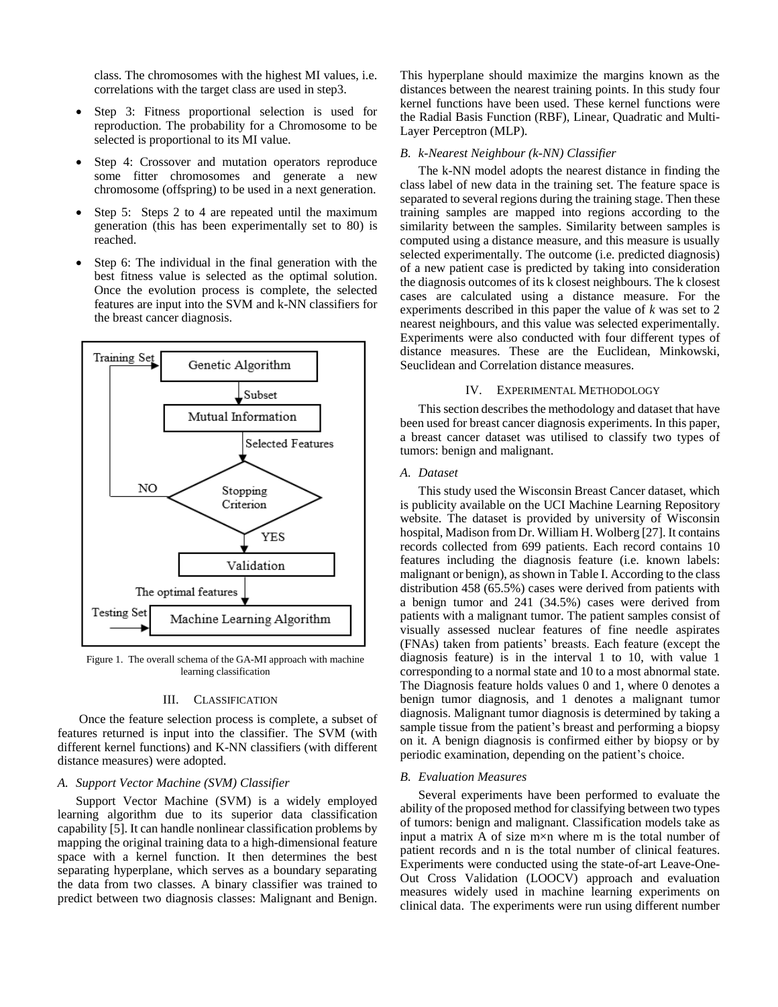class. The chromosomes with the highest MI values, i.e. correlations with the target class are used in step3.

- Step 3: Fitness proportional selection is used for reproduction. The probability for a Chromosome to be selected is proportional to its MI value.
- Step 4: Crossover and mutation operators reproduce some fitter chromosomes and generate a new chromosome (offspring) to be used in a next generation.
- Step 5: Steps 2 to 4 are repeated until the maximum generation (this has been experimentally set to 80) is reached.
- Step 6: The individual in the final generation with the best fitness value is selected as the optimal solution. Once the evolution process is complete, the selected features are input into the SVM and k-NN classifiers for the breast cancer diagnosis.



Figure 1. The overall schema of the GA-MI approach with machine learning classification

# III. CLASSIFICATION

Once the feature selection process is complete, a subset of features returned is input into the classifier. The SVM (with different kernel functions) and K-NN classifiers (with different distance measures) were adopted.

# *A. Support Vector Machine (SVM) Classifier*

Support Vector Machine (SVM) is a widely employed learning algorithm due to its superior data classification capability [5]. It can handle nonlinear classification problems by mapping the original training data to a high-dimensional feature space with a kernel function. It then determines the best separating hyperplane, which serves as a boundary separating the data from two classes. A binary classifier was trained to predict between two diagnosis classes: Malignant and Benign.

This hyperplane should maximize the margins known as the distances between the nearest training points. In this study four kernel functions have been used. These kernel functions were the Radial Basis Function (RBF), Linear, Quadratic and Multi-Layer Perceptron (MLP).

## *B. k-Nearest Neighbour (k-NN) Classifier*

The k-NN model adopts the nearest distance in finding the class label of new data in the training set. The feature space is separated to several regions during the training stage. Then these training samples are mapped into regions according to the similarity between the samples. Similarity between samples is computed using a distance measure, and this measure is usually selected experimentally. The outcome (i.e. predicted diagnosis) of a new patient case is predicted by taking into consideration the diagnosis outcomes of its k closest neighbours. The k closest cases are calculated using a distance measure. For the experiments described in this paper the value of *k* was set to 2 nearest neighbours, and this value was selected experimentally. Experiments were also conducted with four different types of distance measures. These are the Euclidean, Minkowski, Seuclidean and Correlation distance measures.

# IV. EXPERIMENTAL METHODOLOGY

This section describes the methodology and dataset that have been used for breast cancer diagnosis experiments. In this paper, a breast cancer dataset was utilised to classify two types of tumors: benign and malignant.

## *A. Dataset*

This study used the Wisconsin Breast Cancer dataset, which is publicity available on the UCI Machine Learning Repository website. The dataset is provided by university of Wisconsin hospital, Madison from Dr. William H. Wolberg [27]. It contains records collected from 699 patients. Each record contains 10 features including the diagnosis feature (i.e. known labels: malignant or benign), as shown in Table I. According to the class distribution 458 (65.5%) cases were derived from patients with a benign tumor and 241 (34.5%) cases were derived from patients with a malignant tumor. The patient samples consist of visually assessed nuclear features of fine needle aspirates (FNAs) taken from patients' breasts. Each feature (except the diagnosis feature) is in the interval 1 to 10, with value 1 corresponding to a normal state and 10 to a most abnormal state. The Diagnosis feature holds values 0 and 1, where 0 denotes a benign tumor diagnosis, and 1 denotes a malignant tumor diagnosis. Malignant tumor diagnosis is determined by taking a sample tissue from the patient's breast and performing a biopsy on it. A benign diagnosis is confirmed either by biopsy or by periodic examination, depending on the patient's choice.

## *B. Evaluation Measures*

Several experiments have been performed to evaluate the ability of the proposed method for classifying between two types of tumors: benign and malignant. Classification models take as input a matrix A of size m×n where m is the total number of patient records and n is the total number of clinical features. Experiments were conducted using the state-of-art Leave-One-Out Cross Validation (LOOCV) approach and evaluation measures widely used in machine learning experiments on clinical data. The experiments were run using different number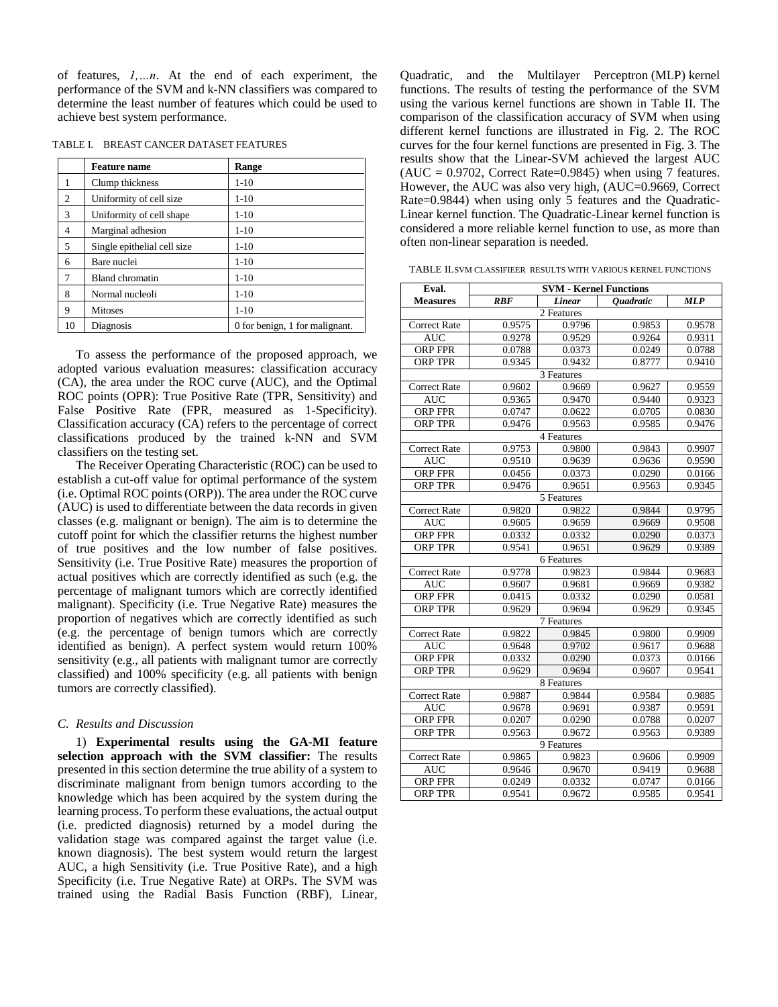of features, *1,…n*. At the end of each experiment, the performance of the SVM and k-NN classifiers was compared to determine the least number of features which could be used to achieve best system performance.

|  |  | TABLE I.     BREAST CANCER DATASET FEATURES |
|--|--|---------------------------------------------|
|--|--|---------------------------------------------|

|                | <b>Feature name</b>         | Range                          |
|----------------|-----------------------------|--------------------------------|
| 1              | Clump thickness             | $1-10$                         |
| $\overline{2}$ | Uniformity of cell size     | $1-10$                         |
| 3              | Uniformity of cell shape    | $1-10$                         |
| 4              | Marginal adhesion           | $1-10$                         |
| 5              | Single epithelial cell size | $1 - 10$                       |
| 6              | Bare nuclei                 | $1 - 10$                       |
| 7              | <b>Bland chromatin</b>      | $1 - 10$                       |
| 8              | Normal nucleoli             | $1 - 10$                       |
| 9              | <b>Mitoses</b>              | $1-10$                         |
| 10             | Diagnosis                   | 0 for benign, 1 for malignant. |

To assess the performance of the proposed approach, we adopted various evaluation measures: classification accuracy (CA), the area under the ROC curve (AUC), and the Optimal ROC points (OPR): True Positive Rate (TPR, Sensitivity) and False Positive Rate (FPR, measured as 1-Specificity). Classification accuracy (CA) refers to the percentage of correct classifications produced by the trained k-NN and SVM classifiers on the testing set.

The Receiver Operating Characteristic (ROC) can be used to establish a cut-off value for optimal performance of the system (i.e. Optimal ROC points (ORP)). The area under the ROC curve (AUC) is used to differentiate between the data records in given classes (e.g. malignant or benign). The aim is to determine the cutoff point for which the classifier returns the highest number of true positives and the low number of false positives. Sensitivity (i.e. True Positive Rate) measures the proportion of actual positives which are correctly identified as such (e.g. the percentage of malignant tumors which are correctly identified malignant). Specificity (i.e. True Negative Rate) measures the proportion of negatives which are correctly identified as such (e.g. the percentage of benign tumors which are correctly identified as benign). A perfect system would return 100% sensitivity (e.g., all patients with malignant tumor are correctly classified) and 100% specificity (e.g. all patients with benign tumors are correctly classified).

#### *C. Results and Discussion*

1) **Experimental results using the GA-MI feature selection approach with the SVM classifier:** The results presented in this section determine the true ability of a system to discriminate malignant from benign tumors according to the knowledge which has been acquired by the system during the learning process. To perform these evaluations, the actual output (i.e. predicted diagnosis) returned by a model during the validation stage was compared against the target value (i.e. known diagnosis). The best system would return the largest AUC, a high Sensitivity (i.e. True Positive Rate), and a high Specificity (i.e. True Negative Rate) at ORPs. The SVM was trained using the Radial Basis Function (RBF), Linear,

Quadratic, and the Multilayer Perceptron (MLP) kernel functions. The results of testing the performance of the SVM using the various kernel functions are shown in Table II. The comparison of the classification accuracy of SVM when using different kernel functions are illustrated in Fig. 2. The ROC curves for the four kernel functions are presented in Fig. 3. The results show that the Linear-SVM achieved the largest AUC  $(AUC = 0.9702, Correct Rate=0.9845)$  when using 7 features. However, the AUC was also very high, (AUC=0.9669, Correct Rate=0.9844) when using only 5 features and the Quadratic-Linear kernel function. The Quadratic-Linear kernel function is considered a more reliable kernel function to use, as more than often non-linear separation is needed.

TABLE II.SVM CLASSIFIEER RESULTS WITH VARIOUS KERNEL FUNCTIONS

| Eval.                   | <b>SVM - Kernel Functions</b> |                         |                  |            |  |  |  |  |  |
|-------------------------|-------------------------------|-------------------------|------------------|------------|--|--|--|--|--|
| <b>Measures</b>         | <b>RBF</b>                    | <b>Linear</b>           | <b>Ouadratic</b> | <b>MLP</b> |  |  |  |  |  |
| 2 Features              |                               |                         |                  |            |  |  |  |  |  |
| <b>Correct Rate</b>     | 0.9575                        | 0.9796                  | 0.9853           | 0.9578     |  |  |  |  |  |
| <b>AUC</b>              | 0.9278                        | 0.9529                  | 0.9264           | 0.9311     |  |  |  |  |  |
| <b>ORP FPR</b>          | 0.0788                        | 0.0373                  | 0.0249           | 0.0788     |  |  |  |  |  |
| <b>ORP TPR</b>          | 0.9345                        | 0.9432                  | 0.8777           | 0.9410     |  |  |  |  |  |
|                         |                               | $\overline{3}$ Features |                  |            |  |  |  |  |  |
| <b>Correct Rate</b>     | 0.9602                        | 0.9669                  | 0.9627           | 0.9559     |  |  |  |  |  |
| <b>AUC</b>              | 0.9365                        | 0.9470                  | 0.9440           | 0.9323     |  |  |  |  |  |
| ORP FPR                 | 0.0747                        | 0.0622                  | 0.0705           | 0.0830     |  |  |  |  |  |
| <b>ORP TPR</b>          | 0.9476                        | 0.9563                  | 0.9585           | 0.9476     |  |  |  |  |  |
|                         |                               | 4 Features              |                  |            |  |  |  |  |  |
| Correct Rate            | 0.9753                        | 0.9800                  | 0.9843           | 0.9907     |  |  |  |  |  |
| <b>AUC</b>              | 0.9510                        | 0.9639                  | 0.9636           | 0.9590     |  |  |  |  |  |
| ORP FPR                 | 0.0456                        | 0.0373                  | 0.0290           | 0.0166     |  |  |  |  |  |
| <b>ORP TPR</b>          | 0.9476                        | 0.9651                  | 0.9563           | 0.9345     |  |  |  |  |  |
|                         |                               | $\overline{5}$ Features |                  |            |  |  |  |  |  |
| <b>Correct Rate</b>     | 0.9820                        | 0.9822                  | 0.9844           | 0.9795     |  |  |  |  |  |
| $\overline{\text{AUC}}$ | 0.9605                        | 0.9659                  | 0.9669           | 0.9508     |  |  |  |  |  |
| <b>ORP FPR</b>          | 0.0332                        | 0.0332                  | 0.0290           | 0.0373     |  |  |  |  |  |
| <b>ORP TPR</b>          | 0.9541                        | 0.9651                  | 0.9629           | 0.9389     |  |  |  |  |  |
| 6 Features              |                               |                         |                  |            |  |  |  |  |  |
| <b>Correct Rate</b>     | 0.9778                        | 0.9823                  | 0.9844           | 0.9683     |  |  |  |  |  |
| <b>AUC</b>              | 0.9607                        | 0.9681                  | 0.9669           | 0.9382     |  |  |  |  |  |
| <b>ORP FPR</b>          | 0.0415                        | 0.0332                  | 0.0290           | 0.0581     |  |  |  |  |  |
| <b>ORP TPR</b>          | 0.9629                        | 0.9694                  | 0.9629           | 0.9345     |  |  |  |  |  |
| 7 Features              |                               |                         |                  |            |  |  |  |  |  |
| <b>Correct Rate</b>     | 0.9822                        | 0.9845                  | 0.9800           | 0.9909     |  |  |  |  |  |
| <b>AUC</b>              | 0.9648                        | 0.9702                  | 0.9617           | 0.9688     |  |  |  |  |  |
| <b>ORP FPR</b>          | 0.0332                        | 0.0290                  | 0.0373           | 0.0166     |  |  |  |  |  |
| <b>ORP TPR</b>          | 0.9629                        | 0.9694                  | 0.9607           | 0.9541     |  |  |  |  |  |
| 8 Features              |                               |                         |                  |            |  |  |  |  |  |
| <b>Correct Rate</b>     | 0.9887                        | 0.9844                  | 0.9584           | 0.9885     |  |  |  |  |  |
| <b>AUC</b>              | 0.9678                        | 0.9691                  | 0.9387           | 0.9591     |  |  |  |  |  |
| <b>ORP FPR</b>          | 0.0207                        | 0.0290                  | 0.0788           | 0.0207     |  |  |  |  |  |
| <b>ORP TPR</b>          | 0.9563                        | 0.9672                  | 0.9563           | 0.9389     |  |  |  |  |  |
| 9 Features              |                               |                         |                  |            |  |  |  |  |  |
| <b>Correct Rate</b>     | 0.9865                        | 0.9823                  | 0.9606           | 0.9909     |  |  |  |  |  |
| <b>AUC</b>              | 0.9646                        | 0.9670                  | 0.9419           | 0.9688     |  |  |  |  |  |
| <b>ORP FPR</b>          | 0.0249                        | 0.0332                  | 0.0747           | 0.0166     |  |  |  |  |  |
| <b>ORP TPR</b>          | 0.9541                        | 0.9672                  | 0.9585           | 0.9541     |  |  |  |  |  |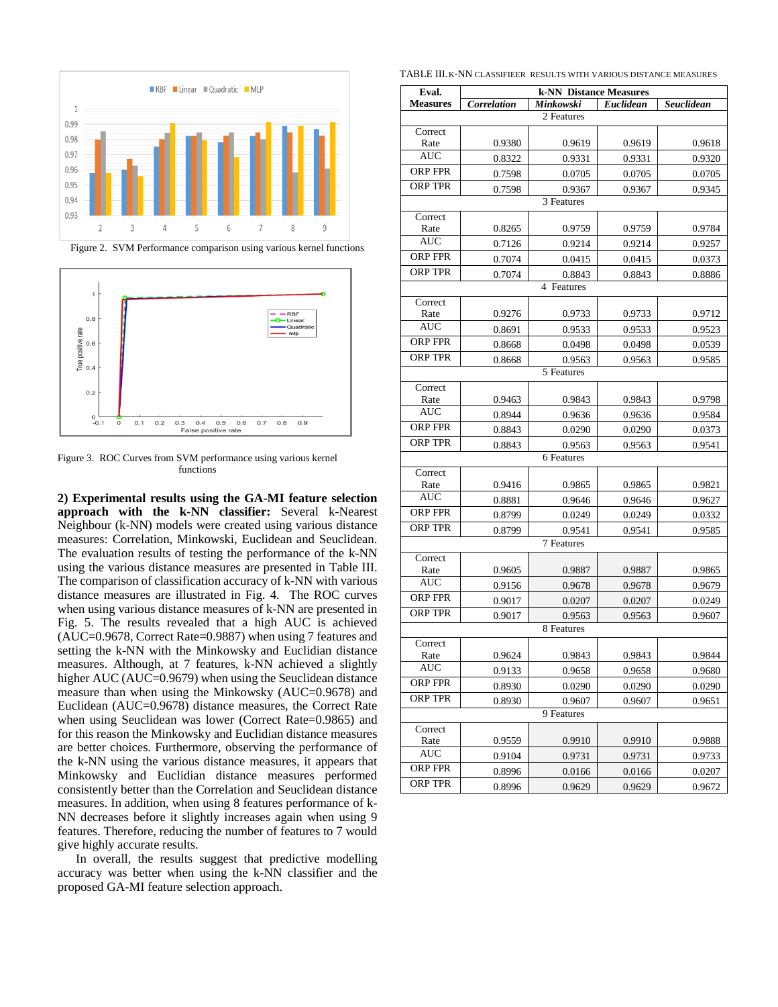

Figure 2. SVM Performance comparison using various kernel functions



Figure 3. ROC Curves from SVM performance using various kernel functions

**2) Experimental results using the GA-MI feature selection approach with the k-NN classifier:** Several k-Nearest Neighbour (k-NN) models were created using various distance measures: Correlation, Minkowski, Euclidean and Seuclidean. The evaluation results of testing the performance of the k-NN using the various distance measures are presented in Table III. The comparison of classification accuracy of k-NN with various distance measures are illustrated in Fig. 4. The ROC curves when using various distance measures of k-NN are presented in Fig. 5. The results revealed that a high AUC is achieved (AUC=0.9678, Correct Rate=0.9887) when using 7 features and setting the k-NN with the Minkowsky and Euclidian distance measures. Although, at 7 features, k-NN achieved a slightly higher AUC (AUC=0.9679) when using the Seuclidean distance measure than when using the Minkowsky (AUC=0.9678) and Euclidean (AUC=0.9678) distance measures, the Correct Rate when using Seuclidean was lower (Correct Rate=0.9865) and for this reason the Minkowsky and Euclidian distance measures are better choices. Furthermore, observing the performance of the k-NN using the various distance measures, it appears that Minkowsky and Euclidian distance measures performed consistently better than the Correlation and Seuclidean distance measures. In addition, when using 8 features performance of k-NN decreases before it slightly increases again when using 9 features. Therefore, reducing the number of features to 7 would give highly accurate results.

In overall, the results suggest that predictive modelling accuracy was better when using the k-NN classifier and the proposed GA-MI feature selection approach.

TABLE III.K-NN CLASSIFIEER RESULTS WITH VARIOUS DISTANCE MEASURES

| Eval.              | <b>k-NN</b> Distance Measures |                      |           |            |  |  |  |
|--------------------|-------------------------------|----------------------|-----------|------------|--|--|--|
| <b>Measures</b>    | Correlation                   | Minkowski            | Euclidean | Seuclidean |  |  |  |
|                    |                               | 2 Features           |           |            |  |  |  |
| Correct            |                               |                      |           |            |  |  |  |
| Rate<br>AUC        | 0.9380                        | 0.9619               | 0.9619    | 0.9618     |  |  |  |
| <b>ORP FPR</b>     | 0.8322                        | 0.9331               | 0.9331    | 0.9320     |  |  |  |
| <b>ORP TPR</b>     | 0.7598                        | 0.0705               | 0.0705    | 0.0705     |  |  |  |
|                    | 0.7598                        | 0.9367<br>3 Features | 0.9367    | 0.9345     |  |  |  |
|                    |                               |                      |           |            |  |  |  |
| Correct<br>Rate    | 0.8265                        | 0.9759               | 0.9759    | 0.9784     |  |  |  |
| <b>AUC</b>         | 0.7126                        | 0.9214               | 0.9214    | 0.9257     |  |  |  |
| <b>ORP FPR</b>     | 0.7074                        | 0.0415               | 0.0415    | 0.0373     |  |  |  |
| <b>ORP TPR</b>     | 0.7074                        | 0.8843               | 0.8843    | 0.8886     |  |  |  |
|                    |                               | 4 Features           |           |            |  |  |  |
| Correct            |                               |                      |           |            |  |  |  |
| Rate               | 0.9276                        | 0.9733               | 0.9733    | 0.9712     |  |  |  |
| AUC                | 0.8691                        | 0.9533               | 0.9533    | 0.9523     |  |  |  |
| <b>ORP FPR</b>     | 0.8668                        | 0.0498               | 0.0498    | 0.0539     |  |  |  |
| <b>ORP TPR</b>     | 0.8668                        | 0.9563               | 0.9563    | 0.9585     |  |  |  |
|                    |                               | 5 Features           |           |            |  |  |  |
| Correct            |                               |                      |           |            |  |  |  |
| Rate               | 0.9463                        | 0.9843               | 0.9843    | 0.9798     |  |  |  |
| AUC                | 0.8944                        | 0.9636               | 0.9636    | 0.9584     |  |  |  |
| <b>ORP FPR</b>     | 0.8843                        | 0.0290               | 0.0290    | 0.0373     |  |  |  |
| <b>ORP TPR</b>     | 0.8843                        | 0.9563               | 0.9563    | 0.9541     |  |  |  |
|                    |                               | 6 Features           |           |            |  |  |  |
| Correct            |                               |                      |           |            |  |  |  |
| Rate               | 0.9416                        | 0.9865               | 0.9865    | 0.9821     |  |  |  |
| AUC                | 0.8881                        | 0.9646               | 0.9646    | 0.9627     |  |  |  |
| ORP FPR            | 0.8799                        | 0.0249               | 0.0249    | 0.0332     |  |  |  |
| <b>ORP TPR</b>     | 0.8799                        | 0.9541               | 0.9541    | 0.9585     |  |  |  |
|                    |                               | 7 Features           |           |            |  |  |  |
| Correct            |                               |                      |           |            |  |  |  |
| Rate<br><b>AUC</b> | 0.9605                        | 0.9887               | 0.9887    | 0.9865     |  |  |  |
| <b>ORP FPR</b>     | 0.9156                        | 0.9678               | 0.9678    | 0.9679     |  |  |  |
| <b>ORP TPR</b>     | 0.9017                        | 0.0207               | 0.0207    | 0.0249     |  |  |  |
|                    | 0.9017                        | 0.9563<br>8 Features | 0.9563    | 0.9607     |  |  |  |
|                    |                               |                      |           |            |  |  |  |
| Correct<br>Rate    | 0.9624                        | 0.9843               | 0.9843    | 0.9844     |  |  |  |
| AUC                | 0.9133                        | 0.9658               | 0.9658    | 0.9680     |  |  |  |
| ORP FPR            | 0.8930                        | 0.0290               | 0.0290    | 0.0290     |  |  |  |
| ORP TPR            | 0.8930                        | 0.9607               | 0.9607    | 0.9651     |  |  |  |
|                    |                               | 9 Features           |           |            |  |  |  |
| Correct            |                               |                      |           |            |  |  |  |
| Rate               | 0.9559                        | 0.9910               | 0.9910    | 0.9888     |  |  |  |
| AUC                | 0.9104                        | 0.9731               | 0.9731    | 0.9733     |  |  |  |
| ORP FPR            | 0.8996                        | 0.0166               | 0.0166    | 0.0207     |  |  |  |
| <b>ORP TPR</b>     | 0.8996                        | 0.9629               | 0.9629    | 0.9672     |  |  |  |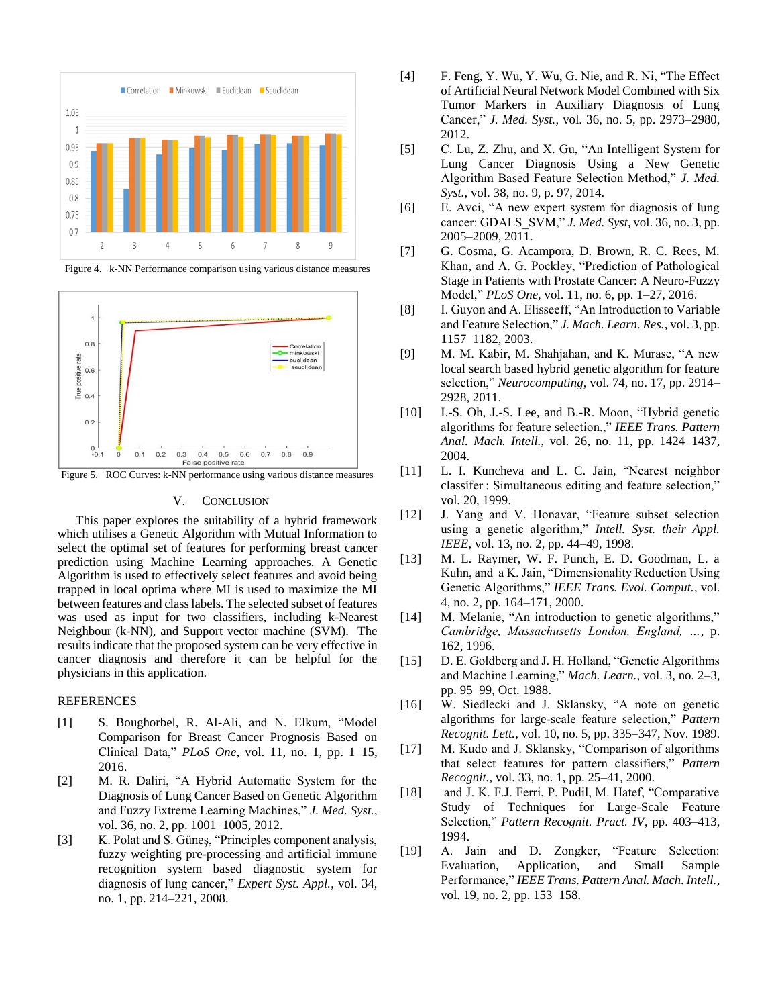

Figure 4. k-NN Performance comparison using various distance measures



Figure 5. ROC Curves: k-NN performance using various distance measures

# V. CONCLUSION

This paper explores the suitability of a hybrid framework which utilises a Genetic Algorithm with Mutual Information to select the optimal set of features for performing breast cancer prediction using Machine Learning approaches. A Genetic Algorithm is used to effectively select features and avoid being trapped in local optima where MI is used to maximize the MI between features and class labels. The selected subset of features was used as input for two classifiers, including k-Nearest Neighbour (k-NN), and Support vector machine (SVM). The results indicate that the proposed system can be very effective in cancer diagnosis and therefore it can be helpful for the physicians in this application.

## REFERENCES

- [1] S. Boughorbel, R. Al-Ali, and N. Elkum, "Model Comparison for Breast Cancer Prognosis Based on Clinical Data," *PLoS One*, vol. 11, no. 1, pp. 1–15, 2016.
- [2] M. R. Daliri, "A Hybrid Automatic System for the Diagnosis of Lung Cancer Based on Genetic Algorithm and Fuzzy Extreme Learning Machines," *J. Med. Syst.*, vol. 36, no. 2, pp. 1001–1005, 2012.
- [3] K. Polat and S. Güneş, "Principles component analysis, fuzzy weighting pre-processing and artificial immune recognition system based diagnostic system for diagnosis of lung cancer," *Expert Syst. Appl.*, vol. 34, no. 1, pp. 214–221, 2008.
- [4] F. Feng, Y. Wu, Y. Wu, G. Nie, and R. Ni, "The Effect of Artificial Neural Network Model Combined with Six Tumor Markers in Auxiliary Diagnosis of Lung Cancer," *J. Med. Syst.*, vol. 36, no. 5, pp. 2973–2980, 2012.
- [5] C. Lu, Z. Zhu, and X. Gu, "An Intelligent System for Lung Cancer Diagnosis Using a New Genetic Algorithm Based Feature Selection Method," *J. Med. Syst.*, vol. 38, no. 9, p. 97, 2014.
- [6] E. Avci, "A new expert system for diagnosis of lung cancer: GDALS\_SVM," *J. Med. Syst*, vol. 36, no. 3, pp. 2005–2009, 2011.
- [7] G. Cosma, G. Acampora, D. Brown, R. C. Rees, M. Khan, and A. G. Pockley, "Prediction of Pathological Stage in Patients with Prostate Cancer: A Neuro-Fuzzy Model," *PLoS One*, vol. 11, no. 6, pp. 1–27, 2016.
- [8] I. Guyon and A. Elisseeff, "An Introduction to Variable and Feature Selection," *J. Mach. Learn. Res.*, vol. 3, pp. 1157–1182, 2003.
- [9] M. M. Kabir, M. Shahjahan, and K. Murase, "A new local search based hybrid genetic algorithm for feature selection," *Neurocomputing*, vol. 74, no. 17, pp. 2914– 2928, 2011.
- [10] I.-S. Oh, J.-S. Lee, and B.-R. Moon, "Hybrid genetic algorithms for feature selection.," *IEEE Trans. Pattern Anal. Mach. Intell.*, vol. 26, no. 11, pp. 1424–1437, 2004.
- [11] L. I. Kuncheva and L. C. Jain, "Nearest neighbor classifer : Simultaneous editing and feature selection," vol. 20, 1999.
- [12] J. Yang and V. Honavar, "Feature subset selection using a genetic algorithm," *Intell. Syst. their Appl. IEEE*, vol. 13, no. 2, pp. 44–49, 1998.
- [13] M. L. Raymer, W. F. Punch, E. D. Goodman, L. a Kuhn, and a K. Jain, "Dimensionality Reduction Using Genetic Algorithms," *IEEE Trans. Evol. Comput.*, vol. 4, no. 2, pp. 164–171, 2000.
- [14] M. Melanie, "An introduction to genetic algorithms," *Cambridge, Massachusetts London, England, …*, p. 162, 1996.
- [15] D. E. Goldberg and J. H. Holland, "Genetic Algorithms and Machine Learning," *Mach. Learn.*, vol. 3, no. 2–3, pp. 95–99, Oct. 1988.
- [16] W. Siedlecki and J. Sklansky, "A note on genetic algorithms for large-scale feature selection," *Pattern Recognit. Lett.*, vol. 10, no. 5, pp. 335–347, Nov. 1989.
- [17] M. Kudo and J. Sklansky, "Comparison of algorithms that select features for pattern classifiers," *Pattern Recognit.*, vol. 33, no. 1, pp. 25–41, 2000.
- [18] and J. K. F.J. Ferri, P. Pudil, M. Hatef, "Comparative Study of Techniques for Large-Scale Feature Selection," *Pattern Recognit. Pract. IV*, pp. 403–413, 1994.
- [19] A. Jain and D. Zongker, "Feature Selection: Evaluation, Application, and Small Sample Performance," *IEEE Trans. Pattern Anal. Mach. Intell.*, vol. 19, no. 2, pp. 153–158.